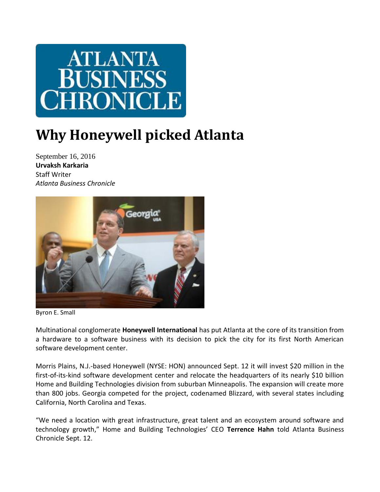

## **Why Honeywell picked Atlanta**

September 16, 2016 **Urvaksh Karkaria** Staff Writer *Atlanta Business Chronicle*



Byron E. Small

Multinational conglomerate **Honeywell International** has put Atlanta at the core of its transition from a hardware to a software business with its decision to pick the city for its first North American software development center.

Morris Plains, N.J.-based Honeywell (NYSE: HON) announced Sept. 12 it will invest \$20 million in the first-of-its-kind software development center and relocate the headquarters of its nearly \$10 billion Home and Building Technologies division from suburban Minneapolis. The expansion will create more than 800 jobs. Georgia competed for the project, codenamed Blizzard, with several states including California, North Carolina and Texas.

"We need a location with great infrastructure, great talent and an ecosystem around software and technology growth," Home and Building Technologies' CEO **[Terrence Hahn](http://www.bizjournals.com/atlanta/search/results?q=Terrence%20Hahn)** told Atlanta Business Chronicle Sept. 12.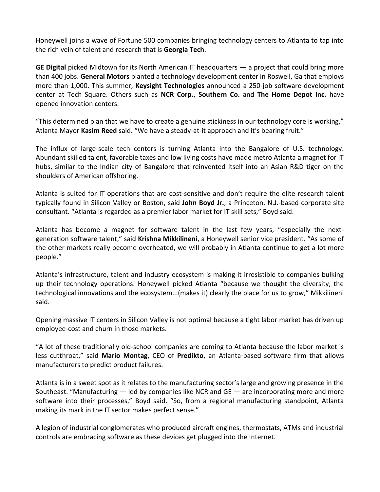Honeywell joins a wave of Fortune 500 companies bringing technology centers to Atlanta to tap into the rich vein of talent and research that is **Georgia Tech**.

**GE Digital** picked Midtown for its North American IT headquarters — a project that could bring more than 400 jobs. **General Motors** planted a technology development center in Roswell, Ga that employs more than 1,000. This summer, **Keysight Technologies** announced a 250-job software development center at Tech Square. Others such as **NCR Corp.**, **Southern Co.** and **The Home Depot Inc.** have opened innovation centers.

"This determined plan that we have to create a genuine stickiness in our technology core is working," Atlanta Mayor **[Kasim Reed](http://www.bizjournals.com/atlanta/search/results?q=Kasim%20Reed)** said. "We have a steady-at-it approach and it's bearing fruit."

The influx of large-scale tech centers is turning Atlanta into the Bangalore of U.S. technology. Abundant skilled talent, favorable taxes and low living costs have made metro Atlanta a magnet for IT hubs, similar to the Indian city of Bangalore that reinvented itself into an Asian R&D tiger on the shoulders of American offshoring.

Atlanta is suited for IT operations that are cost-sensitive and don't require the elite research talent typically found in Silicon Valley or Boston, said **John Boyd Jr.**, a Princeton, N.J.-based corporate site consultant. "Atlanta is regarded as a premier labor market for IT skill sets," Boyd said.

Atlanta has become a magnet for software talent in the last few years, "especially the nextgeneration software talent," said **[Krishna Mikkilineni](http://www.bizjournals.com/atlanta/search/results?q=Krishna%20Mikkilineni)**, a Honeywell senior vice president. "As some of the other markets really become overheated, we will probably in Atlanta continue to get a lot more people."

Atlanta's infrastructure, talent and industry ecosystem is making it irresistible to companies bulking up their technology operations. Honeywell picked Atlanta "because we thought the diversity, the technological innovations and the ecosystem...(makes it) clearly the place for us to grow," Mikkilineni said.

Opening massive IT centers in Silicon Valley is not optimal because a tight labor market has driven up employee-cost and churn in those markets.

"A lot of these traditionally old-school companies are coming to Atlanta because the labor market is less cutthroat," said **[Mario Montag](http://www.bizjournals.com/atlanta/search/results?q=Mario%20Montag)**, CEO of **Predikto**, an Atlanta-based software firm that allows manufacturers to predict product failures.

Atlanta is in a sweet spot as it relates to the manufacturing sector's large and growing presence in the Southeast. "Manufacturing — led by companies like NCR and GE — are incorporating more and more software into their processes," Boyd said. "So, from a regional manufacturing standpoint, Atlanta making its mark in the IT sector makes perfect sense."

A legion of industrial conglomerates who produced aircraft engines, thermostats, ATMs and industrial controls are embracing software as these devices get plugged into the Internet.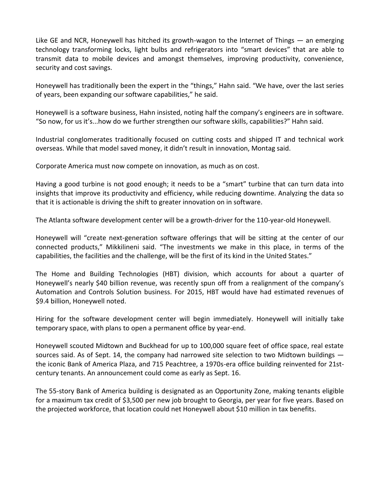Like GE and NCR, Honeywell has hitched its growth-wagon to the Internet of Things — an emerging technology transforming locks, light bulbs and refrigerators into "smart devices" that are able to transmit data to mobile devices and amongst themselves, improving productivity, convenience, security and cost savings.

Honeywell has traditionally been the expert in the "things," Hahn said. "We have, over the last series of years, been expanding our software capabilities," he said.

Honeywell is a software business, Hahn insisted, noting half the company's engineers are in software. "So now, for us it's...how do we further strengthen our software skills, capabilities?" Hahn said.

Industrial conglomerates traditionally focused on cutting costs and shipped IT and technical work overseas. While that model saved money, it didn't result in innovation, Montag said.

Corporate America must now compete on innovation, as much as on cost.

Having a good turbine is not good enough; it needs to be a "smart" turbine that can turn data into insights that improve its productivity and efficiency, while reducing downtime. Analyzing the data so that it is actionable is driving the shift to greater innovation on in software.

The Atlanta software development center will be a growth-driver for the 110-year-old Honeywell.

Honeywell will "create next-generation software offerings that will be sitting at the center of our connected products," Mikkilineni said. "The investments we make in this place, in terms of the capabilities, the facilities and the challenge, will be the first of its kind in the United States."

The Home and Building Technologies (HBT) division, which accounts for about a quarter of Honeywell's nearly \$40 billion revenue, was recently spun off from a realignment of the company's Automation and Controls Solution business. For 2015, HBT would have had estimated revenues of \$9.4 billion, Honeywell noted.

Hiring for the software development center will begin immediately. Honeywell will initially take temporary space, with plans to open a permanent office by year-end.

Honeywell scouted Midtown and Buckhead for up to 100,000 square feet of office space, real estate sources said. As of Sept. 14, the company had narrowed site selection to two Midtown buildings the iconic Bank of America Plaza, and 715 Peachtree, a 1970s-era office building reinvented for 21stcentury tenants. An announcement could come as early as Sept. 16.

The 55-story Bank of America building is designated as an Opportunity Zone, making tenants eligible for a maximum tax credit of \$3,500 per new job brought to Georgia, per year for five years. Based on the projected workforce, that location could net Honeywell about \$10 million in tax benefits.